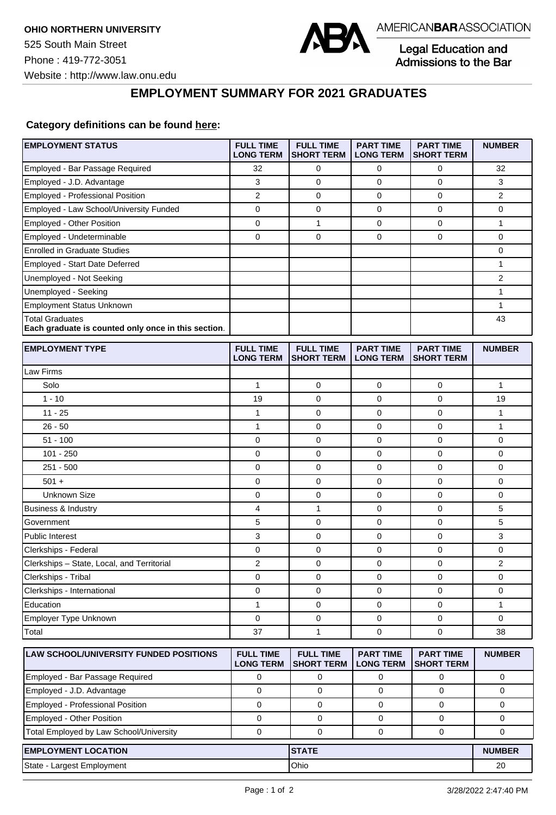

Legal Education and<br>Admissions to the Bar

## **EMPLOYMENT SUMMARY FOR 2021 GRADUATES**

## **Category definitions can be found [here:](https://www.americanbar.org/content/dam/aba/administrative/legal_education_and_admissions_to_the_bar/Questionnaires/2021/2022-employment-protocols-for-the-class-of-2021-september-2021.pdf)**

| Employed - Bar Passage Required<br>32<br>0<br>0<br>0<br>32<br>3<br>$\mathbf 0$<br>$\mathbf 0$<br>3<br>Employed - J.D. Advantage<br>0<br><b>Employed - Professional Position</b><br>$\overline{2}$<br>$\mathbf 0$<br>0<br>$\mathbf 0$<br>2<br>Employed - Law School/University Funded<br>$\mathbf 0$<br>0<br>0<br>0<br>0<br>$\pmb{0}$<br>1<br>$\pmb{0}$<br>Employed - Other Position<br>$\mathbf 0$<br>$\mathbf{1}$<br>Employed - Undeterminable<br>$\mathbf 0$<br>0<br>0<br>$\mathbf 0$<br>0<br><b>Enrolled in Graduate Studies</b><br>0<br>Employed - Start Date Deferred<br>1<br>$\overline{2}$<br>Unemployed - Not Seeking<br>1<br>Unemployed - Seeking<br>Employment Status Unknown<br>1<br><b>Total Graduates</b><br>43<br>Each graduate is counted only once in this section.<br><b>EMPLOYMENT TYPE</b><br><b>FULL TIME</b><br><b>FULL TIME</b><br><b>PART TIME</b><br><b>PART TIME</b><br><b>NUMBER</b><br><b>LONG TERM</b><br><b>SHORT TERM</b><br><b>LONG TERM</b><br><b>SHORT TERM</b><br>Law Firms<br>Solo<br>$\mathbf{1}$<br>0<br>0<br>0<br>1<br>$1 - 10$<br>19<br>$\mathbf 0$<br>$\mathbf 0$<br>19<br>0<br>0<br>$\mathbf 0$<br>$11 - 25$<br>1<br>0<br>1<br>$26 - 50$<br>$\mathbf{1}$<br>0<br>$\mathbf 0$<br>$\mathbf{1}$<br>0<br>$51 - 100$<br>0<br>$\mathbf 0$<br>0<br>0<br>0<br>$101 - 250$<br>$\mathbf 0$<br>0<br>0<br>$\mathbf 0$<br>0<br>$251 - 500$<br>0<br>$\mathbf 0$<br>$\mathbf 0$<br>0<br>0<br>$501 +$<br>0<br>0<br>0<br>0<br>0<br>0<br>0<br><b>Unknown Size</b><br>$\mathbf 0$<br>$\mathbf 0$<br>0<br>1<br>$\mathbf 0$<br>5<br><b>Business &amp; Industry</b><br>4<br>0<br>5<br>5<br>$\mathbf 0$<br>$\mathbf 0$<br>Government<br>0<br>$\mathbf 0$<br>3<br>Public Interest<br>3<br>0<br>0<br>0<br>0<br>$\mathbf 0$<br>Clerkships - Federal<br>0<br>0<br>$\overline{c}$<br>0<br>0<br>2<br>Clerkships - State, Local, and Territorial<br>0<br>Clerkships - Tribal<br>0<br>0<br>$\mathbf 0$<br>0<br>0<br>0<br>$\mathbf 0$<br>Clerkships - International<br>0<br>0<br>0<br>Education<br>0<br>$\pmb{0}$<br>1<br>0<br>1<br>$\mathbf{0}$<br>$\Omega$<br>Employer Type Unknown<br>$\mathbf 0$<br>0<br>$\mathbf 0$<br>$\pmb{0}$<br>$\mathbf 0$<br>Total<br>37<br>1<br>38<br><b>FULL TIME</b><br><b>FULL TIME</b><br><b>PART TIME</b><br>LAW SCHOOL/UNIVERSITY FUNDED POSITIONS<br><b>PART TIME</b><br><b>NUMBER</b><br><b>LONG TERM</b><br><b>SHORT TERM</b><br><b>LONG TERM</b><br><b>SHORT TERM</b><br>Employed - Bar Passage Required<br>0<br>0<br>0<br>0<br>0<br>Employed - J.D. Advantage<br>$\mathbf 0$<br>0<br>0<br>0<br>0<br>Employed - Professional Position<br>$\mathbf 0$<br>0<br>$\mathbf 0$<br>0<br>0<br>Employed - Other Position<br>0<br>0<br>0<br>0<br>0<br>Total Employed by Law School/University<br>$\mathbf 0$<br>0<br>0<br>0<br>0<br><b>EMPLOYMENT LOCATION</b><br><b>STATE</b><br><b>NUMBER</b><br>State - Largest Employment<br>Ohio<br>20 | <b>EMPLOYMENT STATUS</b> | <b>FULL TIME</b><br><b>LONG TERM</b> | <b>FULL TIME</b><br><b>SHORT TERM</b> | <b>PART TIME</b><br><b>LONG TERM</b> | <b>PART TIME</b><br><b>SHORT TERM</b> | <b>NUMBER</b> |
|----------------------------------------------------------------------------------------------------------------------------------------------------------------------------------------------------------------------------------------------------------------------------------------------------------------------------------------------------------------------------------------------------------------------------------------------------------------------------------------------------------------------------------------------------------------------------------------------------------------------------------------------------------------------------------------------------------------------------------------------------------------------------------------------------------------------------------------------------------------------------------------------------------------------------------------------------------------------------------------------------------------------------------------------------------------------------------------------------------------------------------------------------------------------------------------------------------------------------------------------------------------------------------------------------------------------------------------------------------------------------------------------------------------------------------------------------------------------------------------------------------------------------------------------------------------------------------------------------------------------------------------------------------------------------------------------------------------------------------------------------------------------------------------------------------------------------------------------------------------------------------------------------------------------------------------------------------------------------------------------------------------------------------------------------------------------------------------------------------------------------------------------------------------------------------------------------------------------------------------------------------------------------------------------------------------------------------------------------------------------------------------------------------------------------------------------------------------------------------------------------------------------------------------------------------------------------------------------------------------------------------------------------------------------------------------------------------------------------------------------------------------------------------------------------------------------------------------------------------------------------------|--------------------------|--------------------------------------|---------------------------------------|--------------------------------------|---------------------------------------|---------------|
|                                                                                                                                                                                                                                                                                                                                                                                                                                                                                                                                                                                                                                                                                                                                                                                                                                                                                                                                                                                                                                                                                                                                                                                                                                                                                                                                                                                                                                                                                                                                                                                                                                                                                                                                                                                                                                                                                                                                                                                                                                                                                                                                                                                                                                                                                                                                                                                                                                                                                                                                                                                                                                                                                                                                                                                                                                                                                  |                          |                                      |                                       |                                      |                                       |               |
|                                                                                                                                                                                                                                                                                                                                                                                                                                                                                                                                                                                                                                                                                                                                                                                                                                                                                                                                                                                                                                                                                                                                                                                                                                                                                                                                                                                                                                                                                                                                                                                                                                                                                                                                                                                                                                                                                                                                                                                                                                                                                                                                                                                                                                                                                                                                                                                                                                                                                                                                                                                                                                                                                                                                                                                                                                                                                  |                          |                                      |                                       |                                      |                                       |               |
|                                                                                                                                                                                                                                                                                                                                                                                                                                                                                                                                                                                                                                                                                                                                                                                                                                                                                                                                                                                                                                                                                                                                                                                                                                                                                                                                                                                                                                                                                                                                                                                                                                                                                                                                                                                                                                                                                                                                                                                                                                                                                                                                                                                                                                                                                                                                                                                                                                                                                                                                                                                                                                                                                                                                                                                                                                                                                  |                          |                                      |                                       |                                      |                                       |               |
|                                                                                                                                                                                                                                                                                                                                                                                                                                                                                                                                                                                                                                                                                                                                                                                                                                                                                                                                                                                                                                                                                                                                                                                                                                                                                                                                                                                                                                                                                                                                                                                                                                                                                                                                                                                                                                                                                                                                                                                                                                                                                                                                                                                                                                                                                                                                                                                                                                                                                                                                                                                                                                                                                                                                                                                                                                                                                  |                          |                                      |                                       |                                      |                                       |               |
|                                                                                                                                                                                                                                                                                                                                                                                                                                                                                                                                                                                                                                                                                                                                                                                                                                                                                                                                                                                                                                                                                                                                                                                                                                                                                                                                                                                                                                                                                                                                                                                                                                                                                                                                                                                                                                                                                                                                                                                                                                                                                                                                                                                                                                                                                                                                                                                                                                                                                                                                                                                                                                                                                                                                                                                                                                                                                  |                          |                                      |                                       |                                      |                                       |               |
|                                                                                                                                                                                                                                                                                                                                                                                                                                                                                                                                                                                                                                                                                                                                                                                                                                                                                                                                                                                                                                                                                                                                                                                                                                                                                                                                                                                                                                                                                                                                                                                                                                                                                                                                                                                                                                                                                                                                                                                                                                                                                                                                                                                                                                                                                                                                                                                                                                                                                                                                                                                                                                                                                                                                                                                                                                                                                  |                          |                                      |                                       |                                      |                                       |               |
|                                                                                                                                                                                                                                                                                                                                                                                                                                                                                                                                                                                                                                                                                                                                                                                                                                                                                                                                                                                                                                                                                                                                                                                                                                                                                                                                                                                                                                                                                                                                                                                                                                                                                                                                                                                                                                                                                                                                                                                                                                                                                                                                                                                                                                                                                                                                                                                                                                                                                                                                                                                                                                                                                                                                                                                                                                                                                  |                          |                                      |                                       |                                      |                                       |               |
|                                                                                                                                                                                                                                                                                                                                                                                                                                                                                                                                                                                                                                                                                                                                                                                                                                                                                                                                                                                                                                                                                                                                                                                                                                                                                                                                                                                                                                                                                                                                                                                                                                                                                                                                                                                                                                                                                                                                                                                                                                                                                                                                                                                                                                                                                                                                                                                                                                                                                                                                                                                                                                                                                                                                                                                                                                                                                  |                          |                                      |                                       |                                      |                                       |               |
|                                                                                                                                                                                                                                                                                                                                                                                                                                                                                                                                                                                                                                                                                                                                                                                                                                                                                                                                                                                                                                                                                                                                                                                                                                                                                                                                                                                                                                                                                                                                                                                                                                                                                                                                                                                                                                                                                                                                                                                                                                                                                                                                                                                                                                                                                                                                                                                                                                                                                                                                                                                                                                                                                                                                                                                                                                                                                  |                          |                                      |                                       |                                      |                                       |               |
|                                                                                                                                                                                                                                                                                                                                                                                                                                                                                                                                                                                                                                                                                                                                                                                                                                                                                                                                                                                                                                                                                                                                                                                                                                                                                                                                                                                                                                                                                                                                                                                                                                                                                                                                                                                                                                                                                                                                                                                                                                                                                                                                                                                                                                                                                                                                                                                                                                                                                                                                                                                                                                                                                                                                                                                                                                                                                  |                          |                                      |                                       |                                      |                                       |               |
|                                                                                                                                                                                                                                                                                                                                                                                                                                                                                                                                                                                                                                                                                                                                                                                                                                                                                                                                                                                                                                                                                                                                                                                                                                                                                                                                                                                                                                                                                                                                                                                                                                                                                                                                                                                                                                                                                                                                                                                                                                                                                                                                                                                                                                                                                                                                                                                                                                                                                                                                                                                                                                                                                                                                                                                                                                                                                  |                          |                                      |                                       |                                      |                                       |               |
|                                                                                                                                                                                                                                                                                                                                                                                                                                                                                                                                                                                                                                                                                                                                                                                                                                                                                                                                                                                                                                                                                                                                                                                                                                                                                                                                                                                                                                                                                                                                                                                                                                                                                                                                                                                                                                                                                                                                                                                                                                                                                                                                                                                                                                                                                                                                                                                                                                                                                                                                                                                                                                                                                                                                                                                                                                                                                  |                          |                                      |                                       |                                      |                                       |               |
|                                                                                                                                                                                                                                                                                                                                                                                                                                                                                                                                                                                                                                                                                                                                                                                                                                                                                                                                                                                                                                                                                                                                                                                                                                                                                                                                                                                                                                                                                                                                                                                                                                                                                                                                                                                                                                                                                                                                                                                                                                                                                                                                                                                                                                                                                                                                                                                                                                                                                                                                                                                                                                                                                                                                                                                                                                                                                  |                          |                                      |                                       |                                      |                                       |               |
|                                                                                                                                                                                                                                                                                                                                                                                                                                                                                                                                                                                                                                                                                                                                                                                                                                                                                                                                                                                                                                                                                                                                                                                                                                                                                                                                                                                                                                                                                                                                                                                                                                                                                                                                                                                                                                                                                                                                                                                                                                                                                                                                                                                                                                                                                                                                                                                                                                                                                                                                                                                                                                                                                                                                                                                                                                                                                  |                          |                                      |                                       |                                      |                                       |               |
|                                                                                                                                                                                                                                                                                                                                                                                                                                                                                                                                                                                                                                                                                                                                                                                                                                                                                                                                                                                                                                                                                                                                                                                                                                                                                                                                                                                                                                                                                                                                                                                                                                                                                                                                                                                                                                                                                                                                                                                                                                                                                                                                                                                                                                                                                                                                                                                                                                                                                                                                                                                                                                                                                                                                                                                                                                                                                  |                          |                                      |                                       |                                      |                                       |               |
|                                                                                                                                                                                                                                                                                                                                                                                                                                                                                                                                                                                                                                                                                                                                                                                                                                                                                                                                                                                                                                                                                                                                                                                                                                                                                                                                                                                                                                                                                                                                                                                                                                                                                                                                                                                                                                                                                                                                                                                                                                                                                                                                                                                                                                                                                                                                                                                                                                                                                                                                                                                                                                                                                                                                                                                                                                                                                  |                          |                                      |                                       |                                      |                                       |               |
|                                                                                                                                                                                                                                                                                                                                                                                                                                                                                                                                                                                                                                                                                                                                                                                                                                                                                                                                                                                                                                                                                                                                                                                                                                                                                                                                                                                                                                                                                                                                                                                                                                                                                                                                                                                                                                                                                                                                                                                                                                                                                                                                                                                                                                                                                                                                                                                                                                                                                                                                                                                                                                                                                                                                                                                                                                                                                  |                          |                                      |                                       |                                      |                                       |               |
|                                                                                                                                                                                                                                                                                                                                                                                                                                                                                                                                                                                                                                                                                                                                                                                                                                                                                                                                                                                                                                                                                                                                                                                                                                                                                                                                                                                                                                                                                                                                                                                                                                                                                                                                                                                                                                                                                                                                                                                                                                                                                                                                                                                                                                                                                                                                                                                                                                                                                                                                                                                                                                                                                                                                                                                                                                                                                  |                          |                                      |                                       |                                      |                                       |               |
|                                                                                                                                                                                                                                                                                                                                                                                                                                                                                                                                                                                                                                                                                                                                                                                                                                                                                                                                                                                                                                                                                                                                                                                                                                                                                                                                                                                                                                                                                                                                                                                                                                                                                                                                                                                                                                                                                                                                                                                                                                                                                                                                                                                                                                                                                                                                                                                                                                                                                                                                                                                                                                                                                                                                                                                                                                                                                  |                          |                                      |                                       |                                      |                                       |               |
|                                                                                                                                                                                                                                                                                                                                                                                                                                                                                                                                                                                                                                                                                                                                                                                                                                                                                                                                                                                                                                                                                                                                                                                                                                                                                                                                                                                                                                                                                                                                                                                                                                                                                                                                                                                                                                                                                                                                                                                                                                                                                                                                                                                                                                                                                                                                                                                                                                                                                                                                                                                                                                                                                                                                                                                                                                                                                  |                          |                                      |                                       |                                      |                                       |               |
|                                                                                                                                                                                                                                                                                                                                                                                                                                                                                                                                                                                                                                                                                                                                                                                                                                                                                                                                                                                                                                                                                                                                                                                                                                                                                                                                                                                                                                                                                                                                                                                                                                                                                                                                                                                                                                                                                                                                                                                                                                                                                                                                                                                                                                                                                                                                                                                                                                                                                                                                                                                                                                                                                                                                                                                                                                                                                  |                          |                                      |                                       |                                      |                                       |               |
|                                                                                                                                                                                                                                                                                                                                                                                                                                                                                                                                                                                                                                                                                                                                                                                                                                                                                                                                                                                                                                                                                                                                                                                                                                                                                                                                                                                                                                                                                                                                                                                                                                                                                                                                                                                                                                                                                                                                                                                                                                                                                                                                                                                                                                                                                                                                                                                                                                                                                                                                                                                                                                                                                                                                                                                                                                                                                  |                          |                                      |                                       |                                      |                                       |               |
|                                                                                                                                                                                                                                                                                                                                                                                                                                                                                                                                                                                                                                                                                                                                                                                                                                                                                                                                                                                                                                                                                                                                                                                                                                                                                                                                                                                                                                                                                                                                                                                                                                                                                                                                                                                                                                                                                                                                                                                                                                                                                                                                                                                                                                                                                                                                                                                                                                                                                                                                                                                                                                                                                                                                                                                                                                                                                  |                          |                                      |                                       |                                      |                                       |               |
|                                                                                                                                                                                                                                                                                                                                                                                                                                                                                                                                                                                                                                                                                                                                                                                                                                                                                                                                                                                                                                                                                                                                                                                                                                                                                                                                                                                                                                                                                                                                                                                                                                                                                                                                                                                                                                                                                                                                                                                                                                                                                                                                                                                                                                                                                                                                                                                                                                                                                                                                                                                                                                                                                                                                                                                                                                                                                  |                          |                                      |                                       |                                      |                                       |               |
|                                                                                                                                                                                                                                                                                                                                                                                                                                                                                                                                                                                                                                                                                                                                                                                                                                                                                                                                                                                                                                                                                                                                                                                                                                                                                                                                                                                                                                                                                                                                                                                                                                                                                                                                                                                                                                                                                                                                                                                                                                                                                                                                                                                                                                                                                                                                                                                                                                                                                                                                                                                                                                                                                                                                                                                                                                                                                  |                          |                                      |                                       |                                      |                                       |               |
|                                                                                                                                                                                                                                                                                                                                                                                                                                                                                                                                                                                                                                                                                                                                                                                                                                                                                                                                                                                                                                                                                                                                                                                                                                                                                                                                                                                                                                                                                                                                                                                                                                                                                                                                                                                                                                                                                                                                                                                                                                                                                                                                                                                                                                                                                                                                                                                                                                                                                                                                                                                                                                                                                                                                                                                                                                                                                  |                          |                                      |                                       |                                      |                                       |               |
|                                                                                                                                                                                                                                                                                                                                                                                                                                                                                                                                                                                                                                                                                                                                                                                                                                                                                                                                                                                                                                                                                                                                                                                                                                                                                                                                                                                                                                                                                                                                                                                                                                                                                                                                                                                                                                                                                                                                                                                                                                                                                                                                                                                                                                                                                                                                                                                                                                                                                                                                                                                                                                                                                                                                                                                                                                                                                  |                          |                                      |                                       |                                      |                                       |               |
|                                                                                                                                                                                                                                                                                                                                                                                                                                                                                                                                                                                                                                                                                                                                                                                                                                                                                                                                                                                                                                                                                                                                                                                                                                                                                                                                                                                                                                                                                                                                                                                                                                                                                                                                                                                                                                                                                                                                                                                                                                                                                                                                                                                                                                                                                                                                                                                                                                                                                                                                                                                                                                                                                                                                                                                                                                                                                  |                          |                                      |                                       |                                      |                                       |               |
|                                                                                                                                                                                                                                                                                                                                                                                                                                                                                                                                                                                                                                                                                                                                                                                                                                                                                                                                                                                                                                                                                                                                                                                                                                                                                                                                                                                                                                                                                                                                                                                                                                                                                                                                                                                                                                                                                                                                                                                                                                                                                                                                                                                                                                                                                                                                                                                                                                                                                                                                                                                                                                                                                                                                                                                                                                                                                  |                          |                                      |                                       |                                      |                                       |               |
|                                                                                                                                                                                                                                                                                                                                                                                                                                                                                                                                                                                                                                                                                                                                                                                                                                                                                                                                                                                                                                                                                                                                                                                                                                                                                                                                                                                                                                                                                                                                                                                                                                                                                                                                                                                                                                                                                                                                                                                                                                                                                                                                                                                                                                                                                                                                                                                                                                                                                                                                                                                                                                                                                                                                                                                                                                                                                  |                          |                                      |                                       |                                      |                                       |               |
|                                                                                                                                                                                                                                                                                                                                                                                                                                                                                                                                                                                                                                                                                                                                                                                                                                                                                                                                                                                                                                                                                                                                                                                                                                                                                                                                                                                                                                                                                                                                                                                                                                                                                                                                                                                                                                                                                                                                                                                                                                                                                                                                                                                                                                                                                                                                                                                                                                                                                                                                                                                                                                                                                                                                                                                                                                                                                  |                          |                                      |                                       |                                      |                                       |               |
|                                                                                                                                                                                                                                                                                                                                                                                                                                                                                                                                                                                                                                                                                                                                                                                                                                                                                                                                                                                                                                                                                                                                                                                                                                                                                                                                                                                                                                                                                                                                                                                                                                                                                                                                                                                                                                                                                                                                                                                                                                                                                                                                                                                                                                                                                                                                                                                                                                                                                                                                                                                                                                                                                                                                                                                                                                                                                  |                          |                                      |                                       |                                      |                                       |               |
|                                                                                                                                                                                                                                                                                                                                                                                                                                                                                                                                                                                                                                                                                                                                                                                                                                                                                                                                                                                                                                                                                                                                                                                                                                                                                                                                                                                                                                                                                                                                                                                                                                                                                                                                                                                                                                                                                                                                                                                                                                                                                                                                                                                                                                                                                                                                                                                                                                                                                                                                                                                                                                                                                                                                                                                                                                                                                  |                          |                                      |                                       |                                      |                                       |               |
|                                                                                                                                                                                                                                                                                                                                                                                                                                                                                                                                                                                                                                                                                                                                                                                                                                                                                                                                                                                                                                                                                                                                                                                                                                                                                                                                                                                                                                                                                                                                                                                                                                                                                                                                                                                                                                                                                                                                                                                                                                                                                                                                                                                                                                                                                                                                                                                                                                                                                                                                                                                                                                                                                                                                                                                                                                                                                  |                          |                                      |                                       |                                      |                                       |               |
|                                                                                                                                                                                                                                                                                                                                                                                                                                                                                                                                                                                                                                                                                                                                                                                                                                                                                                                                                                                                                                                                                                                                                                                                                                                                                                                                                                                                                                                                                                                                                                                                                                                                                                                                                                                                                                                                                                                                                                                                                                                                                                                                                                                                                                                                                                                                                                                                                                                                                                                                                                                                                                                                                                                                                                                                                                                                                  |                          |                                      |                                       |                                      |                                       |               |
|                                                                                                                                                                                                                                                                                                                                                                                                                                                                                                                                                                                                                                                                                                                                                                                                                                                                                                                                                                                                                                                                                                                                                                                                                                                                                                                                                                                                                                                                                                                                                                                                                                                                                                                                                                                                                                                                                                                                                                                                                                                                                                                                                                                                                                                                                                                                                                                                                                                                                                                                                                                                                                                                                                                                                                                                                                                                                  |                          |                                      |                                       |                                      |                                       |               |
|                                                                                                                                                                                                                                                                                                                                                                                                                                                                                                                                                                                                                                                                                                                                                                                                                                                                                                                                                                                                                                                                                                                                                                                                                                                                                                                                                                                                                                                                                                                                                                                                                                                                                                                                                                                                                                                                                                                                                                                                                                                                                                                                                                                                                                                                                                                                                                                                                                                                                                                                                                                                                                                                                                                                                                                                                                                                                  |                          |                                      |                                       |                                      |                                       |               |
|                                                                                                                                                                                                                                                                                                                                                                                                                                                                                                                                                                                                                                                                                                                                                                                                                                                                                                                                                                                                                                                                                                                                                                                                                                                                                                                                                                                                                                                                                                                                                                                                                                                                                                                                                                                                                                                                                                                                                                                                                                                                                                                                                                                                                                                                                                                                                                                                                                                                                                                                                                                                                                                                                                                                                                                                                                                                                  |                          |                                      |                                       |                                      |                                       |               |
|                                                                                                                                                                                                                                                                                                                                                                                                                                                                                                                                                                                                                                                                                                                                                                                                                                                                                                                                                                                                                                                                                                                                                                                                                                                                                                                                                                                                                                                                                                                                                                                                                                                                                                                                                                                                                                                                                                                                                                                                                                                                                                                                                                                                                                                                                                                                                                                                                                                                                                                                                                                                                                                                                                                                                                                                                                                                                  |                          |                                      |                                       |                                      |                                       |               |
|                                                                                                                                                                                                                                                                                                                                                                                                                                                                                                                                                                                                                                                                                                                                                                                                                                                                                                                                                                                                                                                                                                                                                                                                                                                                                                                                                                                                                                                                                                                                                                                                                                                                                                                                                                                                                                                                                                                                                                                                                                                                                                                                                                                                                                                                                                                                                                                                                                                                                                                                                                                                                                                                                                                                                                                                                                                                                  |                          |                                      |                                       |                                      |                                       |               |
|                                                                                                                                                                                                                                                                                                                                                                                                                                                                                                                                                                                                                                                                                                                                                                                                                                                                                                                                                                                                                                                                                                                                                                                                                                                                                                                                                                                                                                                                                                                                                                                                                                                                                                                                                                                                                                                                                                                                                                                                                                                                                                                                                                                                                                                                                                                                                                                                                                                                                                                                                                                                                                                                                                                                                                                                                                                                                  |                          |                                      |                                       |                                      |                                       |               |